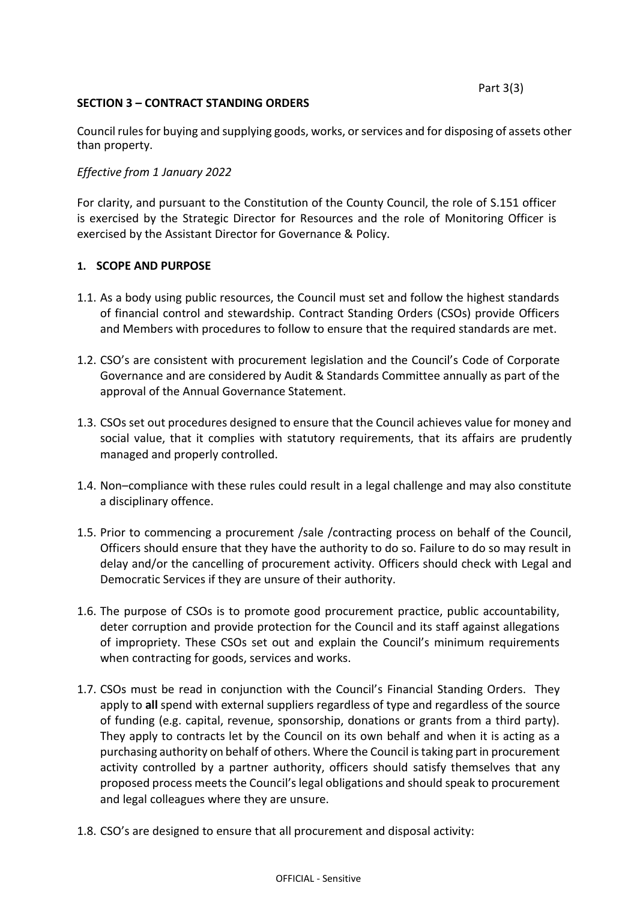Part 3(3)

#### **SECTION 3 – CONTRACT STANDING ORDERS**

Council rules for buying and supplying goods, works, or services and for disposing of assets other than property.

# *Effective from 1 January 2022*

For clarity, and pursuant to the Constitution of the County Council, the role of S.151 officer is exercised by the Strategic Director for Resources and the role of Monitoring Officer is exercised by the Assistant Director for Governance & Policy.

#### **1. SCOPE AND PURPOSE**

- 1.1. As a body using public resources, the Council must set and follow the highest standards of financial control and stewardship. Contract Standing Orders (CSOs) provide Officers and Members with procedures to follow to ensure that the required standards are met.
- 1.2. CSO's are consistent with procurement legislation and the Council's Code of Corporate Governance and are considered by Audit & Standards Committee annually as part of the approval of the Annual Governance Statement.
- 1.3. CSOs set out procedures designed to ensure that the Council achieves value for money and social value, that it complies with statutory requirements, that its affairs are prudently managed and properly controlled.
- 1.4. Non–compliance with these rules could result in a legal challenge and may also constitute a disciplinary offence.
- 1.5. Prior to commencing a procurement /sale /contracting process on behalf of the Council, Officers should ensure that they have the authority to do so. Failure to do so may result in delay and/or the cancelling of procurement activity. Officers should check with Legal and Democratic Services if they are unsure of their authority.
- 1.6. The purpose of CSOs is to promote good procurement practice, public accountability, deter corruption and provide protection for the Council and its staff against allegations of impropriety. These CSOs set out and explain the Council's minimum requirements when contracting for goods, services and works.
- 1.7. CSOs must be read in conjunction with the Council's Financial Standing Orders. They apply to **all** spend with external suppliers regardless of type and regardless of the source of funding (e.g. capital, revenue, sponsorship, donations or grants from a third party). They apply to contracts let by the Council on its own behalf and when it is acting as a purchasing authority on behalf of others. Where the Council is taking part in procurement activity controlled by a partner authority, officers should satisfy themselves that any proposed process meets the Council's legal obligations and should speak to procurement and legal colleagues where they are unsure.
- 1.8. CSO's are designed to ensure that all procurement and disposal activity: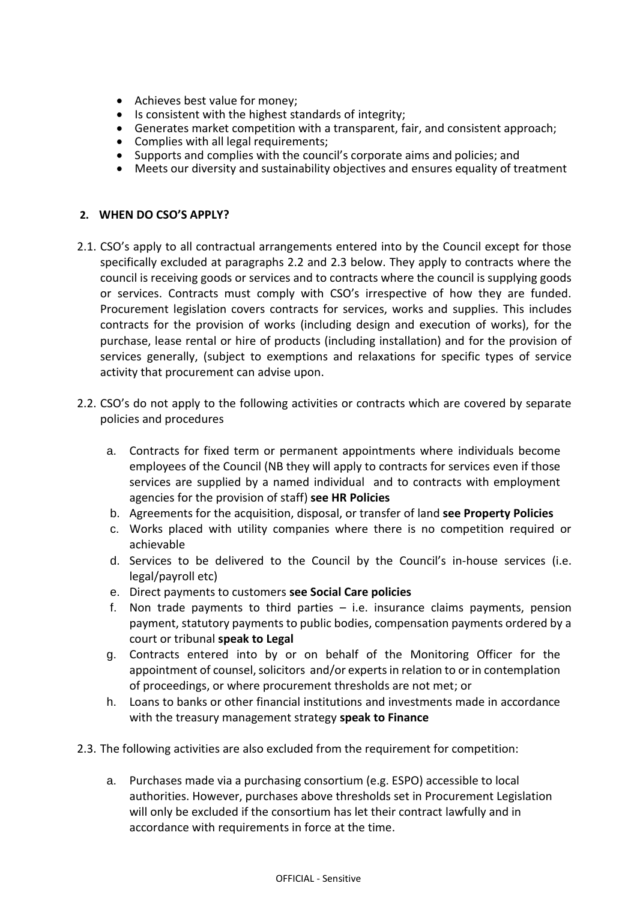- Achieves best value for money;
- Is consistent with the highest standards of integrity;
- Generates market competition with a transparent, fair, and consistent approach;
- Complies with all legal requirements;
- Supports and complies with the council's corporate aims and policies; and
- Meets our diversity and sustainability objectives and ensures equality of treatment

# **2. WHEN DO CSO'S APPLY?**

- 2.1. CSO's apply to all contractual arrangements entered into by the Council except for those specifically excluded at paragraphs 2.2 and 2.3 below. They apply to contracts where the council is receiving goods or services and to contracts where the council is supplying goods or services. Contracts must comply with CSO's irrespective of how they are funded. Procurement legislation covers contracts for services, works and supplies. This includes contracts for the provision of works (including design and execution of works), for the purchase, lease rental or hire of products (including installation) and for the provision of services generally, (subject to exemptions and relaxations for specific types of service activity that procurement can advise upon.
- 2.2. CSO's do not apply to the following activities or contracts which are covered by separate policies and procedures
	- a. Contracts for fixed term or permanent appointments where individuals become employees of the Council (NB they will apply to contracts for services even if those services are supplied by a named individual and to contracts with employment agencies for the provision of staff) **see HR Policies**
	- b. Agreements for the acquisition, disposal, or transfer of land **see Property Policies**
	- c. Works placed with utility companies where there is no competition required or achievable
	- d. Services to be delivered to the Council by the Council's in-house services (i.e. legal/payroll etc)
	- e. Direct payments to customers **see Social Care policies**
	- f. Non trade payments to third parties i.e. insurance claims payments, pension payment, statutory payments to public bodies, compensation payments ordered by a court or tribunal **speak to Legal**
	- g. Contracts entered into by or on behalf of the Monitoring Officer for the appointment of counsel, solicitors and/or experts in relation to or in contemplation of proceedings, or where procurement thresholds are not met; or
	- h. Loans to banks or other financial institutions and investments made in accordance with the treasury management strategy **speak to Finance**
- 2.3. The following activities are also excluded from the requirement for competition:
	- a. Purchases made via a purchasing consortium (e.g. ESPO) accessible to local authorities. However, purchases above thresholds set in Procurement Legislation will only be excluded if the consortium has let their contract lawfully and in accordance with requirements in force at the time.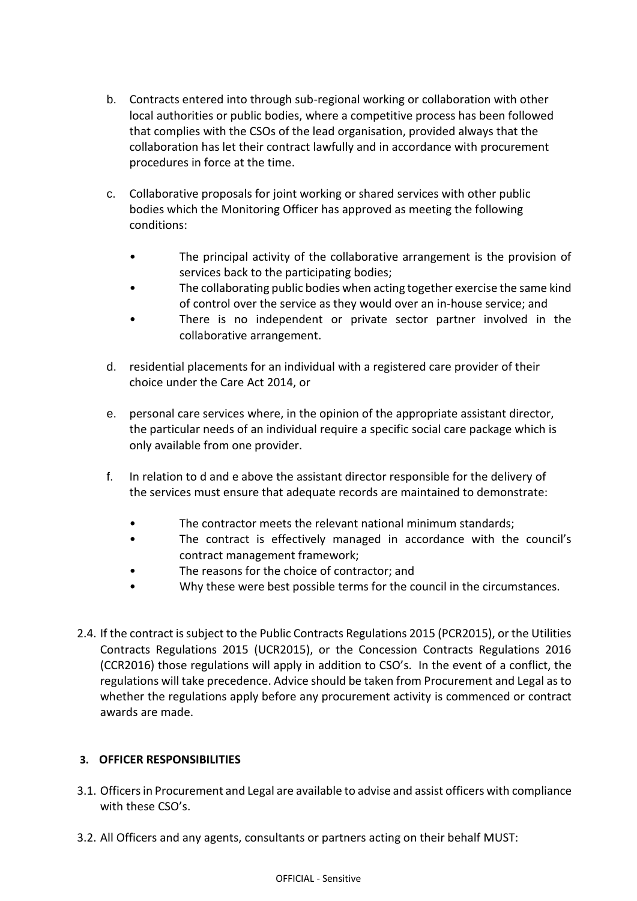- b. Contracts entered into through sub-regional working or collaboration with other local authorities or public bodies, where a competitive process has been followed that complies with the CSOs of the lead organisation, provided always that the collaboration has let their contract lawfully and in accordance with procurement procedures in force at the time.
- c. Collaborative proposals for joint working or shared services with other public bodies which the Monitoring Officer has approved as meeting the following conditions:
	- The principal activity of the collaborative arrangement is the provision of services back to the participating bodies;
	- The collaborating public bodies when acting together exercise the same kind of control over the service as they would over an in-house service; and
	- There is no independent or private sector partner involved in the collaborative arrangement.
- d. residential placements for an individual with a registered care provider of their choice under the Care Act 2014, or
- e. personal care services where, in the opinion of the appropriate assistant director, the particular needs of an individual require a specific social care package which is only available from one provider.
- f. In relation to d and e above the assistant director responsible for the delivery of the services must ensure that adequate records are maintained to demonstrate:
	- The contractor meets the relevant national minimum standards;
	- The contract is effectively managed in accordance with the council's contract management framework;
	- The reasons for the choice of contractor; and
	- Why these were best possible terms for the council in the circumstances.
- 2.4. If the contract is subject to the Public Contracts Regulations 2015 (PCR2015), or the Utilities Contracts Regulations 2015 (UCR2015), or the Concession Contracts Regulations 2016 (CCR2016) those regulations will apply in addition to CSO's. In the event of a conflict, the regulations will take precedence. Advice should be taken from Procurement and Legal as to whether the regulations apply before any procurement activity is commenced or contract awards are made.

# **3. OFFICER RESPONSIBILITIES**

- 3.1. Officers in Procurement and Legal are available to advise and assist officers with compliance with these CSO's.
- 3.2. All Officers and any agents, consultants or partners acting on their behalf MUST: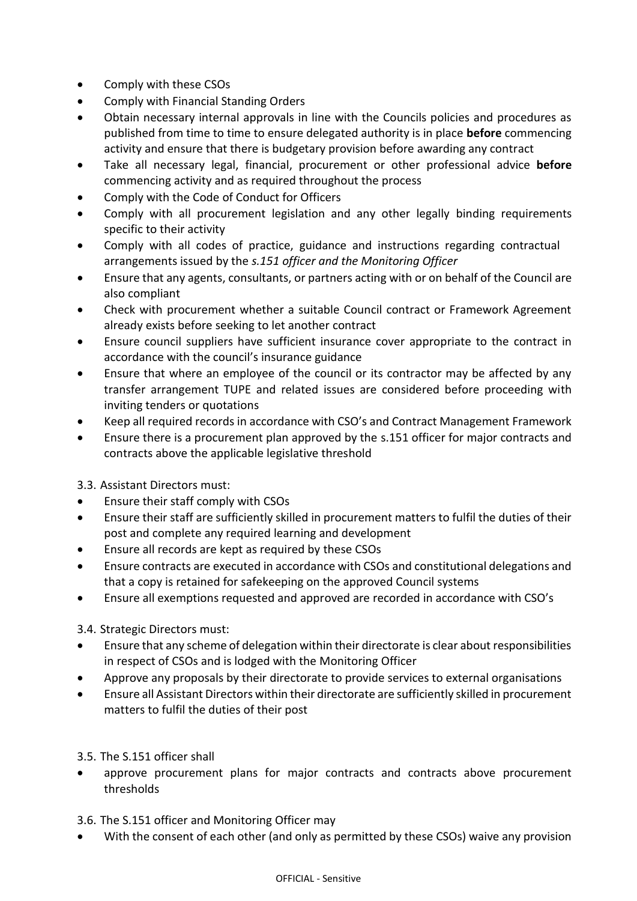- Comply with these CSOs
- Comply with Financial Standing Orders
- Obtain necessary internal approvals in line with the Councils policies and procedures as published from time to time to ensure delegated authority is in place **before** commencing activity and ensure that there is budgetary provision before awarding any contract
- Take all necessary legal, financial, procurement or other professional advice **before** commencing activity and as required throughout the process
- Comply with the Code of Conduct for Officers
- Comply with all procurement legislation and any other legally binding requirements specific to their activity
- Comply with all codes of practice, guidance and instructions regarding contractual arrangements issued by the *s.151 officer and the Monitoring Officer*
- Ensure that any agents, consultants, or partners acting with or on behalf of the Council are also compliant
- Check with procurement whether a suitable Council contract or Framework Agreement already exists before seeking to let another contract
- Ensure council suppliers have sufficient insurance cover appropriate to the contract in accordance with the council's insurance guidance
- Ensure that where an employee of the council or its contractor may be affected by any transfer arrangement TUPE and related issues are considered before proceeding with inviting tenders or quotations
- Keep all required records in accordance with CSO's and Contract Management Framework
- Ensure there is a procurement plan approved by the s.151 officer for major contracts and contracts above the applicable legislative threshold

3.3. Assistant Directors must:

- Ensure their staff comply with CSOs
- Ensure their staff are sufficiently skilled in procurement matters to fulfil the duties of their post and complete any required learning and development
- Ensure all records are kept as required by these CSOs
- Ensure contracts are executed in accordance with CSOs and constitutional delegations and that a copy is retained for safekeeping on the approved Council systems
- Ensure all exemptions requested and approved are recorded in accordance with CSO's

3.4. Strategic Directors must:

- Ensure that any scheme of delegation within their directorate is clear about responsibilities in respect of CSOs and is lodged with the Monitoring Officer
- Approve any proposals by their directorate to provide services to external organisations
- Ensure all Assistant Directors within their directorate are sufficiently skilled in procurement matters to fulfil the duties of their post

3.5. The S.151 officer shall

 approve procurement plans for major contracts and contracts above procurement thresholds

3.6. The S.151 officer and Monitoring Officer may

With the consent of each other (and only as permitted by these CSOs) waive any provision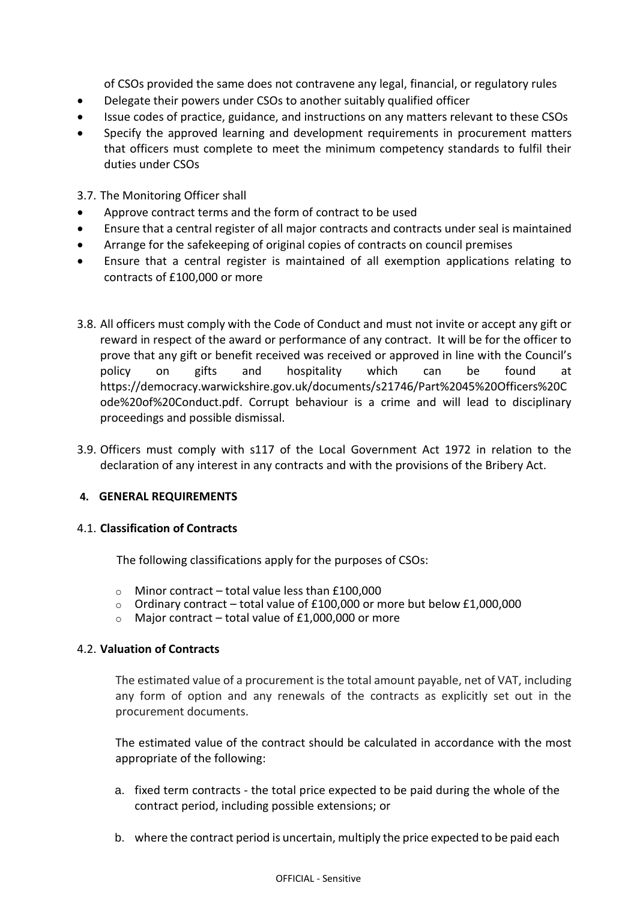of CSOs provided the same does not contravene any legal, financial, or regulatory rules

- Delegate their powers under CSOs to another suitably qualified officer
- Issue codes of practice, guidance, and instructions on any matters relevant to these CSOs
- Specify the approved learning and development requirements in procurement matters that officers must complete to meet the minimum competency standards to fulfil their duties under CSOs

3.7. The Monitoring Officer shall

- Approve contract terms and the form of contract to be used
- Ensure that a central register of all major contracts and contracts under seal is maintained
- Arrange for the safekeeping of original copies of contracts on council premises
- Ensure that a central register is maintained of all exemption applications relating to contracts of £100,000 or more
- 3.8. All officers must comply with the Code of Conduct and must not invite or accept any gift or reward in respect of the award or performance of any contract. It will be for the officer to prove that any gift or benefit received was received or approved in line with the Council's policy on gifts and hospitality which can be found at https://democracy.warwickshire.gov.uk/documents/s21746/Part%2045%20Officers%20C ode%20of%20Conduct.pdf. Corrupt behaviour is a crime and will lead to disciplinary proceedings and possible dismissal.
- 3.9. Officers must comply with s117 of the Local Government Act 1972 in relation to the declaration of any interest in any contracts and with the provisions of the Bribery Act.

#### **4. GENERAL REQUIREMENTS**

#### 4.1. **Classification of Contracts**

The following classifications apply for the purposes of CSOs:

- $\circ$  Minor contract total value less than £100,000
- $\circ$  Ordinary contract total value of £100,000 or more but below £1,000,000
- $\circ$  Major contract total value of £1,000,000 or more

#### 4.2. **Valuation of Contracts**

The estimated value of a procurement is the total amount payable, net of VAT, including any form of option and any renewals of the contracts as explicitly set out in the procurement documents.

The estimated value of the contract should be calculated in accordance with the most appropriate of the following:

- a. fixed term contracts the total price expected to be paid during the whole of the contract period, including possible extensions; or
- b. where the contract period is uncertain, multiply the price expected to be paid each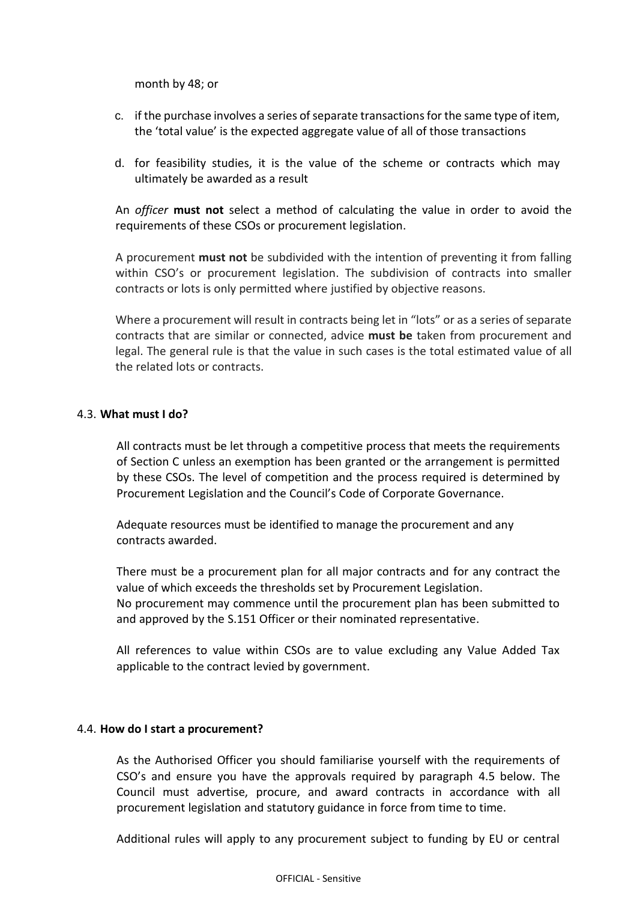month by 48; or

- c. if the purchase involves a series of separate transactions for the same type of item, the 'total value' is the expected aggregate value of all of those transactions
- d. for feasibility studies, it is the value of the scheme or contracts which may ultimately be awarded as a result

An *officer* **must not** select a method of calculating the value in order to avoid the requirements of these CSOs or procurement legislation.

A procurement **must not** be subdivided with the intention of preventing it from falling within CSO's or procurement legislation. The subdivision of contracts into smaller contracts or lots is only permitted where justified by objective reasons.

Where a procurement will result in contracts being let in "lots" or as a series of separate contracts that are similar or connected, advice **must be** taken from procurement and legal. The general rule is that the value in such cases is the total estimated value of all the related lots or contracts.

#### 4.3. **What must I do?**

All contracts must be let through a competitive process that meets the requirements of Section C unless an exemption has been granted or the arrangement is permitted by these CSOs. The level of competition and the process required is determined by Procurement Legislation and the Council's Code of Corporate Governance.

Adequate resources must be identified to manage the procurement and any contracts awarded.

There must be a procurement plan for all major contracts and for any contract the value of which exceeds the thresholds set by Procurement Legislation. No procurement may commence until the procurement plan has been submitted to and approved by the S.151 Officer or their nominated representative.

All references to value within CSOs are to value excluding any Value Added Tax applicable to the contract levied by government.

#### 4.4. **How do I start a procurement?**

As the Authorised Officer you should familiarise yourself with the requirements of CSO's and ensure you have the approvals required by paragraph 4.5 below. The Council must advertise, procure, and award contracts in accordance with all procurement legislation and statutory guidance in force from time to time.

Additional rules will apply to any procurement subject to funding by EU or central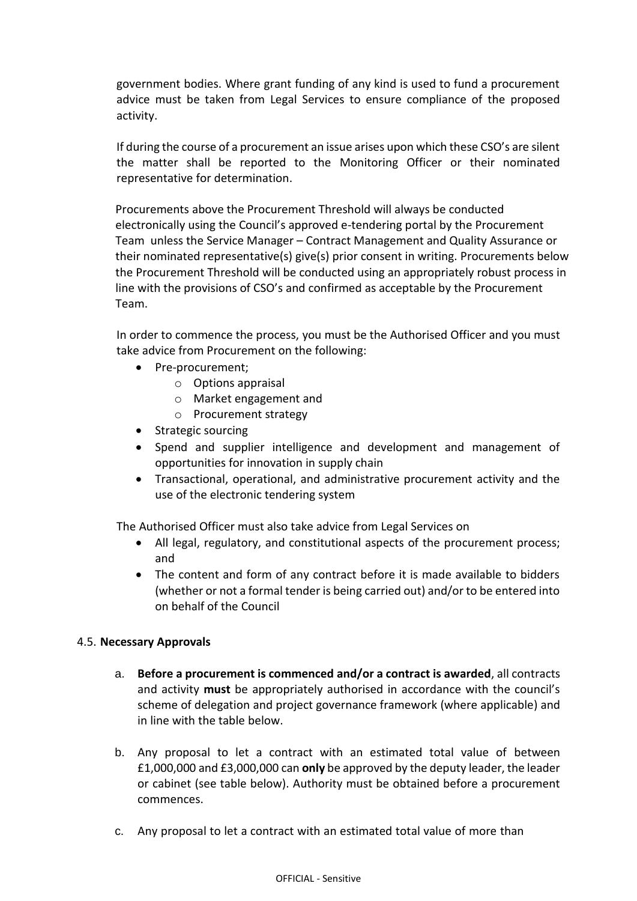government bodies. Where grant funding of any kind is used to fund a procurement advice must be taken from Legal Services to ensure compliance of the proposed activity.

If during the course of a procurement an issue arises upon which these CSO's are silent the matter shall be reported to the Monitoring Officer or their nominated representative for determination.

Procurements above the Procurement Threshold will always be conducted electronically using the Council's approved e-tendering portal by the Procurement Team unless the Service Manager – Contract Management and Quality Assurance or their nominated representative(s) give(s) prior consent in writing. Procurements below the Procurement Threshold will be conducted using an appropriately robust process in line with the provisions of CSO's and confirmed as acceptable by the Procurement Team.

In order to commence the process, you must be the Authorised Officer and you must take advice from Procurement on the following:

- Pre-procurement;
	- o Options appraisal
	- o Market engagement and
	- o Procurement strategy
- Strategic sourcing
- Spend and supplier intelligence and development and management of opportunities for innovation in supply chain
- Transactional, operational, and administrative procurement activity and the use of the electronic tendering system

The Authorised Officer must also take advice from Legal Services on

- All legal, regulatory, and constitutional aspects of the procurement process; and
- The content and form of any contract before it is made available to bidders (whether or not a formal tender is being carried out) and/or to be entered into on behalf of the Council

# 4.5. **Necessary Approvals**

- a. **Before a procurement is commenced and/or a contract is awarded**, all contracts and activity **must** be appropriately authorised in accordance with the council's scheme of delegation and project governance framework (where applicable) and in line with the table below.
- b. Any proposal to let a contract with an estimated total value of between £1,000,000 and £3,000,000 can **only** be approved by the deputy leader, the leader or cabinet (see table below). Authority must be obtained before a procurement commences.
- c. Any proposal to let a contract with an estimated total value of more than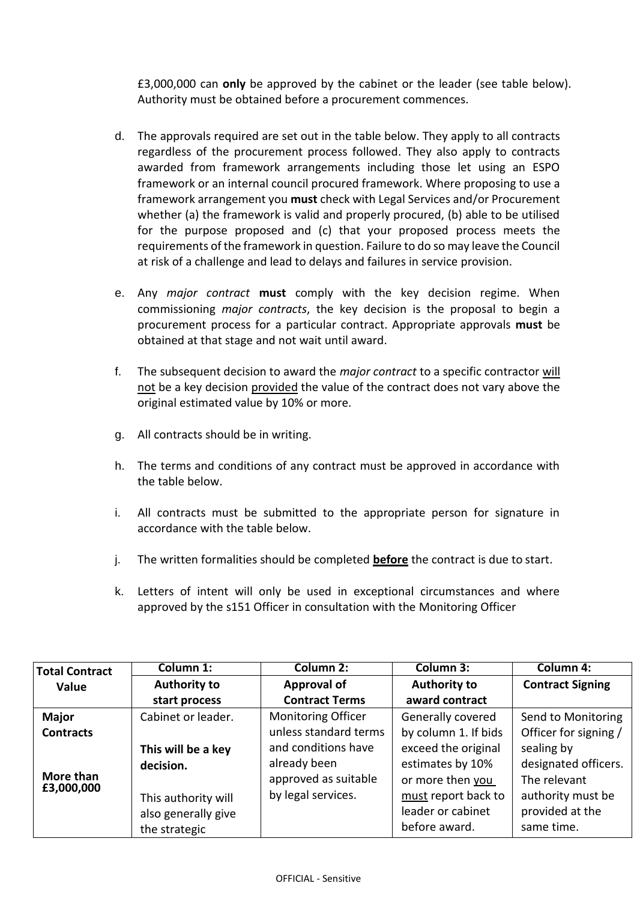£3,000,000 can **only** be approved by the cabinet or the leader (see table below). Authority must be obtained before a procurement commences.

- d. The approvals required are set out in the table below. They apply to all contracts regardless of the procurement process followed. They also apply to contracts awarded from framework arrangements including those let using an ESPO framework or an internal council procured framework. Where proposing to use a framework arrangement you **must** check with Legal Services and/or Procurement whether (a) the framework is valid and properly procured, (b) able to be utilised for the purpose proposed and (c) that your proposed process meets the requirements of the framework in question. Failure to do so may leave the Council at risk of a challenge and lead to delays and failures in service provision.
- e. Any *major contract* **must** comply with the key decision regime. When commissioning *major contracts*, the key decision is the proposal to begin a procurement process for a particular contract. Appropriate approvals **must** be obtained at that stage and not wait until award.
- f. The subsequent decision to award the *major contract* to a specific contractor will not be a key decision provided the value of the contract does not vary above the original estimated value by 10% or more.
- g. All contracts should be in writing.
- h. The terms and conditions of any contract must be approved in accordance with the table below.
- i. All contracts must be submitted to the appropriate person for signature in accordance with the table below.
- j. The written formalities should be completed **before** the contract is due to start.
- k. Letters of intent will only be used in exceptional circumstances and where approved by the s151 Officer in consultation with the Monitoring Officer

| <b>Total Contract</b>   | Column 1:           | Column 2:                 | Column 3:            | <b>Column 4:</b>        |
|-------------------------|---------------------|---------------------------|----------------------|-------------------------|
| Value                   | <b>Authority to</b> | <b>Approval of</b>        | <b>Authority to</b>  | <b>Contract Signing</b> |
|                         | start process       | <b>Contract Terms</b>     | award contract       |                         |
| <b>Major</b>            | Cabinet or leader.  | <b>Monitoring Officer</b> | Generally covered    | Send to Monitoring      |
| <b>Contracts</b>        |                     | unless standard terms     | by column 1. If bids | Officer for signing /   |
|                         | This will be a key  | and conditions have       | exceed the original  | sealing by              |
| More than<br>£3,000,000 | decision.           | already been              | estimates by 10%     | designated officers.    |
|                         |                     | approved as suitable      | or more then you     | The relevant            |
|                         | This authority will | by legal services.        | must report back to  | authority must be       |
|                         | also generally give |                           | leader or cabinet    | provided at the         |
|                         | the strategic       |                           | before award.        | same time.              |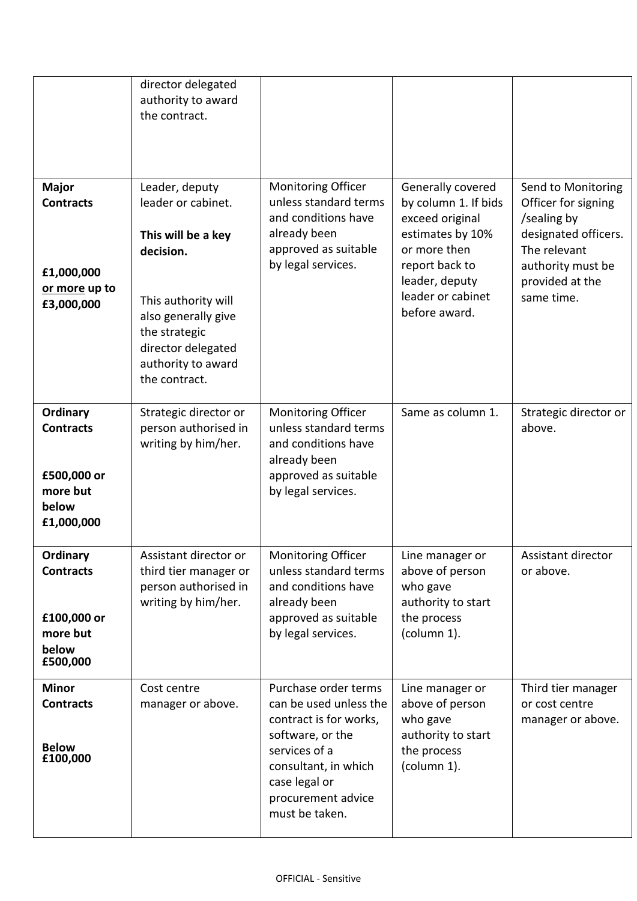|                                                                                | director delegated<br>authority to award<br>the contract.                                                                                                                                           |                                                                                                                                                                                                |                                                                                                                                                                            |                                                                                                                                                        |
|--------------------------------------------------------------------------------|-----------------------------------------------------------------------------------------------------------------------------------------------------------------------------------------------------|------------------------------------------------------------------------------------------------------------------------------------------------------------------------------------------------|----------------------------------------------------------------------------------------------------------------------------------------------------------------------------|--------------------------------------------------------------------------------------------------------------------------------------------------------|
| <b>Major</b><br><b>Contracts</b><br>£1,000,000<br>or more up to<br>£3,000,000  | Leader, deputy<br>leader or cabinet.<br>This will be a key<br>decision.<br>This authority will<br>also generally give<br>the strategic<br>director delegated<br>authority to award<br>the contract. | <b>Monitoring Officer</b><br>unless standard terms<br>and conditions have<br>already been<br>approved as suitable<br>by legal services.                                                        | Generally covered<br>by column 1. If bids<br>exceed original<br>estimates by 10%<br>or more then<br>report back to<br>leader, deputy<br>leader or cabinet<br>before award. | Send to Monitoring<br>Officer for signing<br>/sealing by<br>designated officers.<br>The relevant<br>authority must be<br>provided at the<br>same time. |
| Ordinary<br><b>Contracts</b><br>£500,000 or<br>more but<br>below<br>£1,000,000 | Strategic director or<br>person authorised in<br>writing by him/her.                                                                                                                                | <b>Monitoring Officer</b><br>unless standard terms<br>and conditions have<br>already been<br>approved as suitable<br>by legal services.                                                        | Same as column 1.                                                                                                                                                          | Strategic director or<br>above.                                                                                                                        |
| Ordinary<br><b>Contracts</b><br>£100,000 or<br>more but<br>below<br>£500,000   | Assistant director or<br>third tier manager or<br>person authorised in<br>writing by him/her.                                                                                                       | Monitoring Officer<br>unless standard terms<br>and conditions have<br>already been<br>approved as suitable<br>by legal services.                                                               | Line manager or<br>above of person<br>who gave<br>authority to start<br>the process<br>(column 1).                                                                         | Assistant director<br>or above.                                                                                                                        |
| <b>Minor</b><br><b>Contracts</b><br><b>Below</b><br>£100,000                   | Cost centre<br>manager or above.                                                                                                                                                                    | Purchase order terms<br>can be used unless the<br>contract is for works,<br>software, or the<br>services of a<br>consultant, in which<br>case legal or<br>procurement advice<br>must be taken. | Line manager or<br>above of person<br>who gave<br>authority to start<br>the process<br>(column 1).                                                                         | Third tier manager<br>or cost centre<br>manager or above.                                                                                              |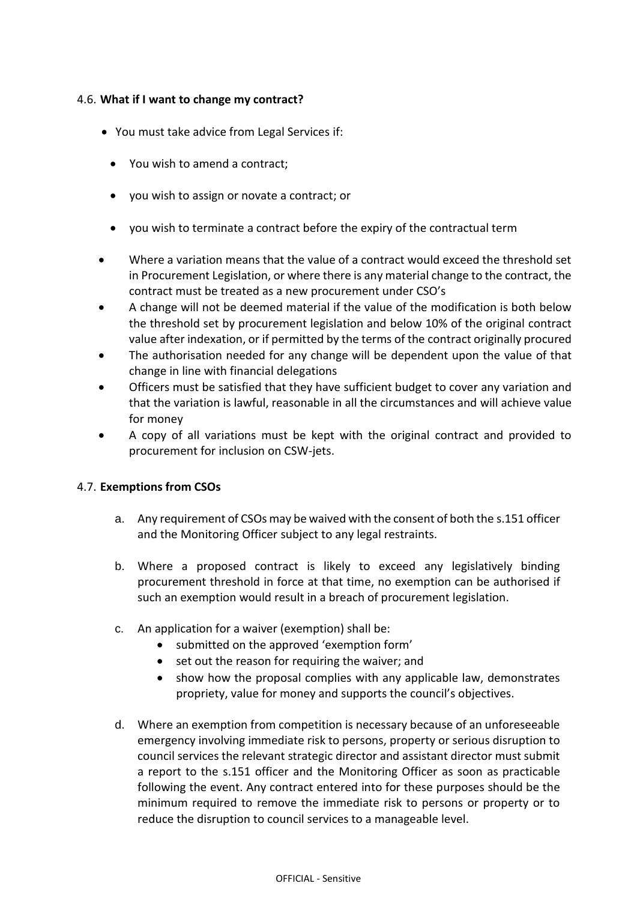# 4.6. **What if I want to change my contract?**

- You must take advice from Legal Services if:
	- You wish to amend a contract;
	- you wish to assign or novate a contract; or
	- you wish to terminate a contract before the expiry of the contractual term
- Where a variation means that the value of a contract would exceed the threshold set in Procurement Legislation, or where there is any material change to the contract, the contract must be treated as a new procurement under CSO's
- A change will not be deemed material if the value of the modification is both below the threshold set by procurement legislation and below 10% of the original contract value after indexation, or if permitted by the terms of the contract originally procured
- The authorisation needed for any change will be dependent upon the value of that change in line with financial delegations
- Officers must be satisfied that they have sufficient budget to cover any variation and that the variation is lawful, reasonable in all the circumstances and will achieve value for money
- A copy of all variations must be kept with the original contract and provided to procurement for inclusion on CSW-jets.

# 4.7. **Exemptions from CSOs**

- a. Any requirement of CSOs may be waived with the consent of both the s.151 officer and the Monitoring Officer subject to any legal restraints.
- b. Where a proposed contract is likely to exceed any legislatively binding procurement threshold in force at that time, no exemption can be authorised if such an exemption would result in a breach of procurement legislation.
- c. An application for a waiver (exemption) shall be:
	- submitted on the approved 'exemption form'
	- set out the reason for requiring the waiver; and
	- show how the proposal complies with any applicable law, demonstrates propriety, value for money and supports the council's objectives.
- d. Where an exemption from competition is necessary because of an unforeseeable emergency involving immediate risk to persons, property or serious disruption to council services the relevant strategic director and assistant director must submit a report to the s.151 officer and the Monitoring Officer as soon as practicable following the event. Any contract entered into for these purposes should be the minimum required to remove the immediate risk to persons or property or to reduce the disruption to council services to a manageable level.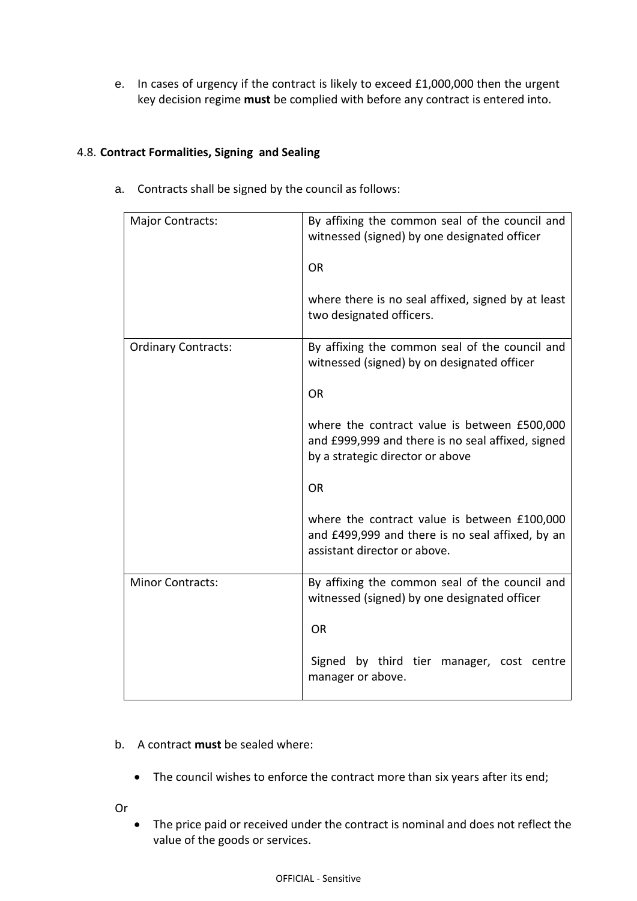e. In cases of urgency if the contract is likely to exceed £1,000,000 then the urgent key decision regime **must** be complied with before any contract is entered into.

# 4.8. **Contract Formalities, Signing and Sealing**

- Major Contracts: **By affixing the common seal of the council and** witnessed (signed) by one designated officer OR where there is no seal affixed, signed by at least two designated officers. Ordinary Contracts: **By affixing the common seal of the council and** witnessed (signed) by on designated officer OR where the contract value is between £500,000 and £999,999 and there is no seal affixed, signed by a strategic director or above OR where the contract value is between £100,000 and £499,999 and there is no seal affixed, by an assistant director or above. Minor Contracts: **By affixing the common seal of the council and** witnessed (signed) by one designated officer OR Signed by third tier manager, cost centre manager or above.
- a. Contracts shall be signed by the council as follows:

#### b. A contract **must** be sealed where:

- The council wishes to enforce the contract more than six years after its end;
- Or
- The price paid or received under the contract is nominal and does not reflect the value of the goods or services.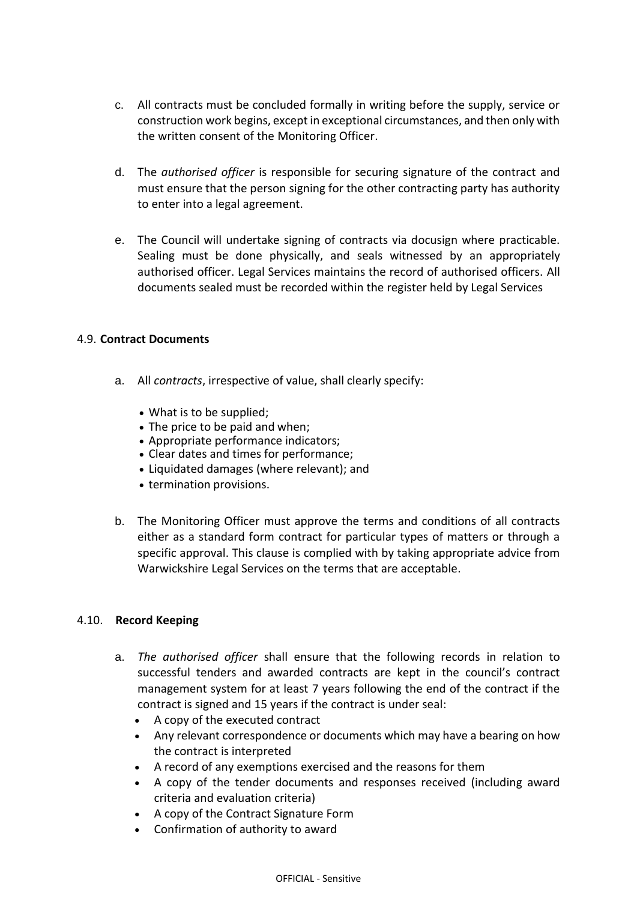- c. All contracts must be concluded formally in writing before the supply, service or construction work begins, except in exceptional circumstances, and then only with the written consent of the Monitoring Officer.
- d. The *authorised officer* is responsible for securing signature of the contract and must ensure that the person signing for the other contracting party has authority to enter into a legal agreement.
- e. The Council will undertake signing of contracts via docusign where practicable. Sealing must be done physically, and seals witnessed by an appropriately authorised officer. Legal Services maintains the record of authorised officers. All documents sealed must be recorded within the register held by Legal Services

# 4.9. **Contract Documents**

- a. All *contracts*, irrespective of value, shall clearly specify:
	- What is to be supplied;
	- The price to be paid and when;
	- Appropriate performance indicators;
	- Clear dates and times for performance;
	- Liquidated damages (where relevant); and
	- termination provisions.
- b. The Monitoring Officer must approve the terms and conditions of all contracts either as a standard form contract for particular types of matters or through a specific approval. This clause is complied with by taking appropriate advice from Warwickshire Legal Services on the terms that are acceptable.

#### 4.10. **Record Keeping**

- a. *The authorised officer* shall ensure that the following records in relation to successful tenders and awarded contracts are kept in the council's contract management system for at least 7 years following the end of the contract if the contract is signed and 15 years if the contract is under seal:
	- A copy of the executed contract
	- Any relevant correspondence or documents which may have a bearing on how the contract is interpreted
	- A record of any exemptions exercised and the reasons for them
	- A copy of the tender documents and responses received (including award criteria and evaluation criteria)
	- A copy of the Contract Signature Form
	- Confirmation of authority to award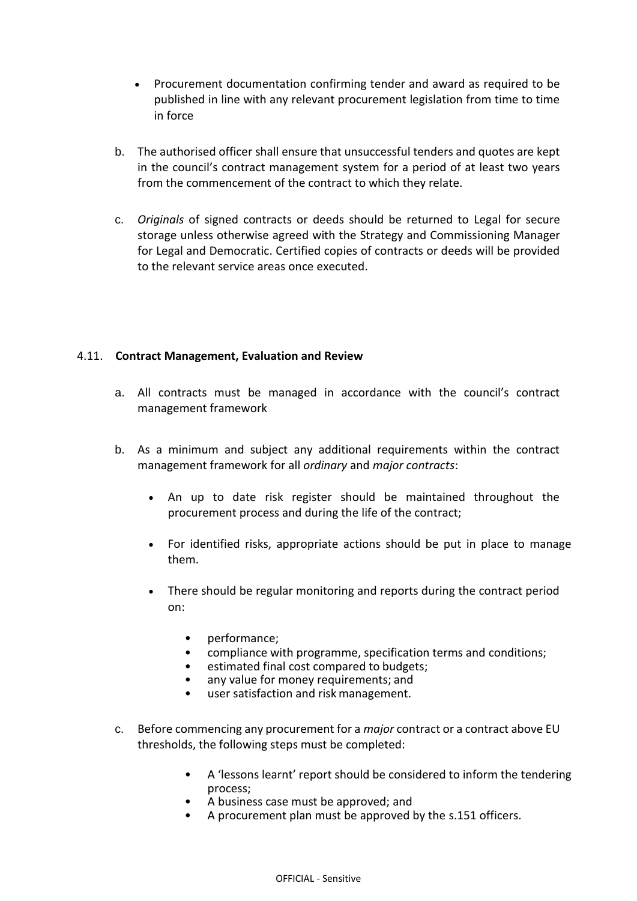- Procurement documentation confirming tender and award as required to be published in line with any relevant procurement legislation from time to time in force
- b. The authorised officer shall ensure that unsuccessful tenders and quotes are kept in the council's contract management system for a period of at least two years from the commencement of the contract to which they relate.
- c. *Originals* of signed contracts or deeds should be returned to Legal for secure storage unless otherwise agreed with the Strategy and Commissioning Manager for Legal and Democratic. Certified copies of contracts or deeds will be provided to the relevant service areas once executed.

# 4.11. **Contract Management, Evaluation and Review**

- a. All contracts must be managed in accordance with the council's contract management framework
- b. As a minimum and subject any additional requirements within the contract management framework for all *ordinary* and *major contracts*:
	- An up to date risk register should be maintained throughout the procurement process and during the life of the contract;
	- For identified risks, appropriate actions should be put in place to manage them.
	- There should be regular monitoring and reports during the contract period on:
		- performance;
		- compliance with programme, specification terms and conditions;
		- estimated final cost compared to budgets;
		- any value for money requirements; and
		- user satisfaction and risk management.
- c. Before commencing any procurement for a *major* contract or a contract above EU thresholds, the following steps must be completed:
	- A 'lessons learnt' report should be considered to inform the tendering process;
	- A business case must be approved; and
	- A procurement plan must be approved by the s.151 officers.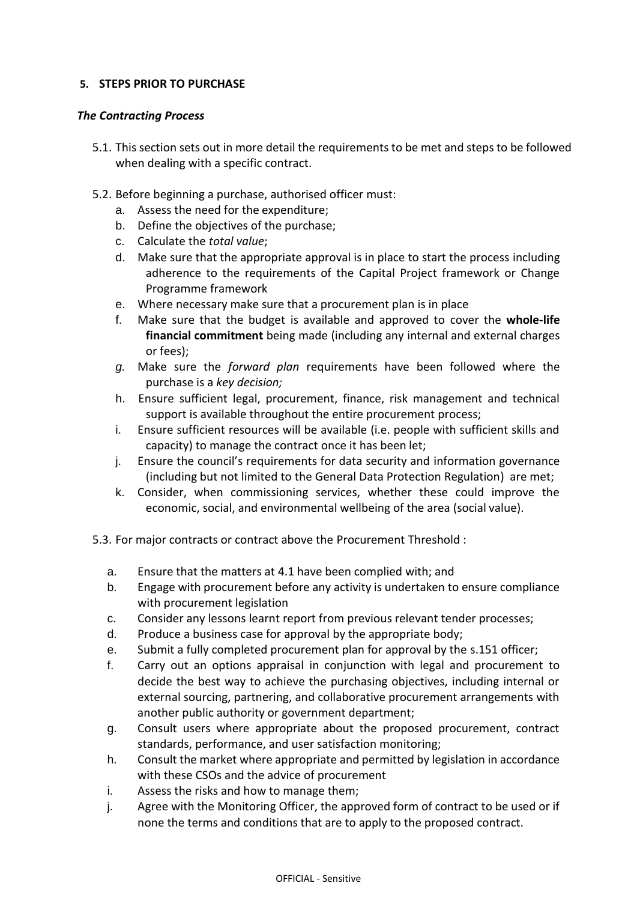# **5. STEPS PRIOR TO PURCHASE**

### *The Contracting Process*

- 5.1. This section sets out in more detail the requirements to be met and steps to be followed when dealing with a specific contract.
- 5.2. Before beginning a purchase, authorised officer must:
	- a. Assess the need for the expenditure;
	- b. Define the objectives of the purchase;
	- c. Calculate the *total value*;
	- d. Make sure that the appropriate approval is in place to start the process including adherence to the requirements of the Capital Project framework or Change Programme framework
	- e. Where necessary make sure that a procurement plan is in place
	- f. Make sure that the budget is available and approved to cover the **whole-life financial commitment** being made (including any internal and external charges or fees);
	- *g.* Make sure the *forward plan* requirements have been followed where the purchase is a *key decision;*
	- h. Ensure sufficient legal, procurement, finance, risk management and technical support is available throughout the entire procurement process;
	- i. Ensure sufficient resources will be available (i.e. people with sufficient skills and capacity) to manage the contract once it has been let;
	- j. Ensure the council's requirements for data security and information governance (including but not limited to the General Data Protection Regulation) are met;
	- k. Consider, when commissioning services, whether these could improve the economic, social, and environmental wellbeing of the area (social value).
- 5.3. For major contracts or contract above the Procurement Threshold :
	- a. Ensure that the matters at 4.1 have been complied with; and
	- b. Engage with procurement before any activity is undertaken to ensure compliance with procurement legislation
	- c. Consider any lessons learnt report from previous relevant tender processes;
	- d. Produce a business case for approval by the appropriate body;
	- e. Submit a fully completed procurement plan for approval by the s.151 officer;
	- f. Carry out an options appraisal in conjunction with legal and procurement to decide the best way to achieve the purchasing objectives, including internal or external sourcing, partnering, and collaborative procurement arrangements with another public authority or government department;
	- g. Consult users where appropriate about the proposed procurement, contract standards, performance, and user satisfaction monitoring;
	- h. Consult the market where appropriate and permitted by legislation in accordance with these CSOs and the advice of procurement
	- i. Assess the risks and how to manage them;
	- j. Agree with the Monitoring Officer, the approved form of contract to be used or if none the terms and conditions that are to apply to the proposed contract.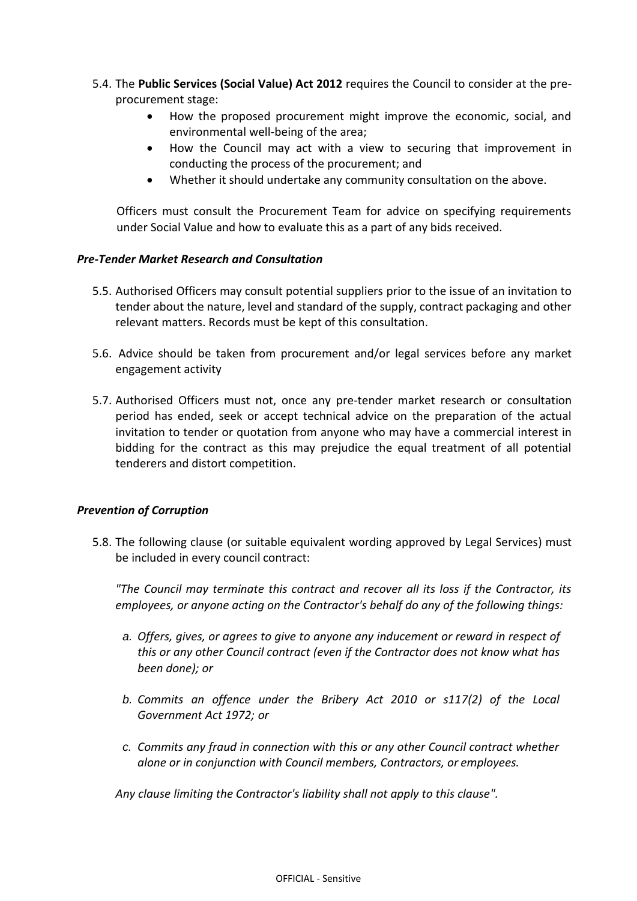- 5.4. The **Public Services (Social Value) Act 2012** requires the Council to consider at the preprocurement stage:
	- How the proposed procurement might improve the economic, social, and environmental well-being of the area;
	- How the Council may act with a view to securing that improvement in conducting the process of the procurement; and
	- Whether it should undertake any community consultation on the above.

Officers must consult the Procurement Team for advice on specifying requirements under Social Value and how to evaluate this as a part of any bids received.

# *Pre-Tender Market Research and Consultation*

- 5.5. Authorised Officers may consult potential suppliers prior to the issue of an invitation to tender about the nature, level and standard of the supply, contract packaging and other relevant matters. Records must be kept of this consultation.
- 5.6. Advice should be taken from procurement and/or legal services before any market engagement activity
- 5.7. Authorised Officers must not, once any pre-tender market research or consultation period has ended, seek or accept technical advice on the preparation of the actual invitation to tender or quotation from anyone who may have a commercial interest in bidding for the contract as this may prejudice the equal treatment of all potential tenderers and distort competition.

# *Prevention of Corruption*

5.8. The following clause (or suitable equivalent wording approved by Legal Services) must be included in every council contract:

*"The Council may terminate this contract and recover all its loss if the Contractor, its employees, or anyone acting on the Contractor's behalf do any of the following things:*

- *a. Offers, gives, or agrees to give to anyone any inducement or reward in respect of this or any other Council contract (even if the Contractor does not know what has been done); or*
- *b. Commits an offence under the Bribery Act 2010 or s117(2) of the Local Government Act 1972; or*
- *c. Commits any fraud in connection with this or any other Council contract whether alone or in conjunction with Council members, Contractors, or employees.*

*Any clause limiting the Contractor's liability shall not apply to this clause".*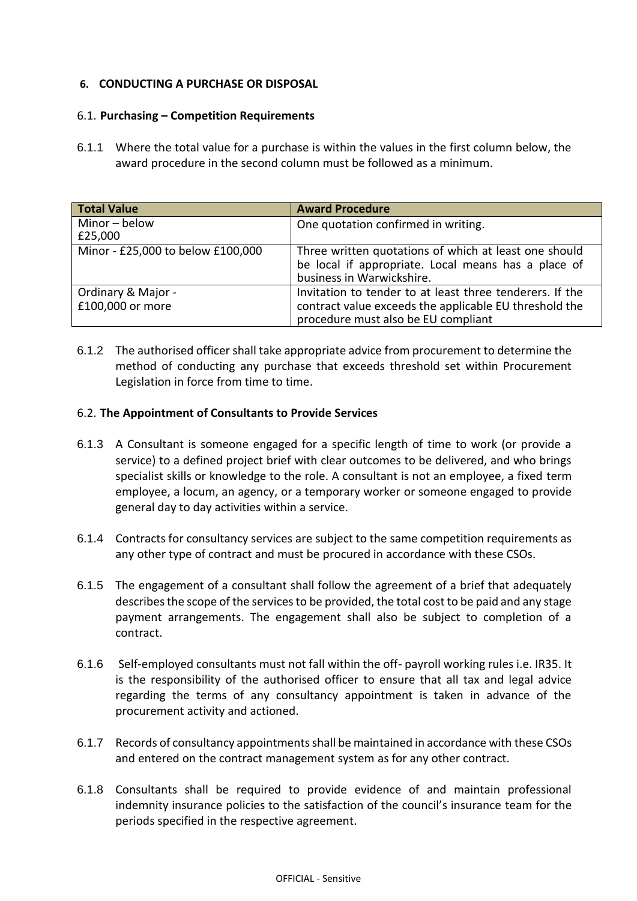# **6. CONDUCTING A PURCHASE OR DISPOSAL**

### 6.1. **Purchasing – Competition Requirements**

6.1.1 Where the total value for a purchase is within the values in the first column below, the award procedure in the second column must be followed as a minimum.

| <b>Total Value</b>                     | <b>Award Procedure</b>                                                                                                                                    |
|----------------------------------------|-----------------------------------------------------------------------------------------------------------------------------------------------------------|
| Minor-below<br>£25,000                 | One quotation confirmed in writing.                                                                                                                       |
| Minor - £25,000 to below £100,000      | Three written quotations of which at least one should<br>be local if appropriate. Local means has a place of<br>business in Warwickshire.                 |
| Ordinary & Major -<br>£100,000 or more | Invitation to tender to at least three tenderers. If the<br>contract value exceeds the applicable EU threshold the<br>procedure must also be EU compliant |

6.1.2 The authorised officer shall take appropriate advice from procurement to determine the method of conducting any purchase that exceeds threshold set within Procurement Legislation in force from time to time.

# 6.2. **The Appointment of Consultants to Provide Services**

- 6.1.3 A Consultant is someone engaged for a specific length of time to work (or provide a service) to a defined project brief with clear outcomes to be delivered, and who brings specialist skills or knowledge to the role. A consultant is not an employee, a fixed term employee, a locum, an agency, or a temporary worker or someone engaged to provide general day to day activities within a service.
- 6.1.4 Contracts for consultancy services are subject to the same competition requirements as any other type of contract and must be procured in accordance with these CSOs.
- 6.1.5 The engagement of a consultant shall follow the agreement of a brief that adequately describes the scope of the services to be provided, the total cost to be paid and any stage payment arrangements. The engagement shall also be subject to completion of a contract.
- 6.1.6 Self-employed consultants must not fall within the off- payroll working rules i.e. IR35. It is the responsibility of the authorised officer to ensure that all tax and legal advice regarding the terms of any consultancy appointment is taken in advance of the procurement activity and actioned.
- 6.1.7 Records of consultancy appointments shall be maintained in accordance with these CSOs and entered on the contract management system as for any other contract.
- 6.1.8 Consultants shall be required to provide evidence of and maintain professional indemnity insurance policies to the satisfaction of the council's insurance team for the periods specified in the respective agreement.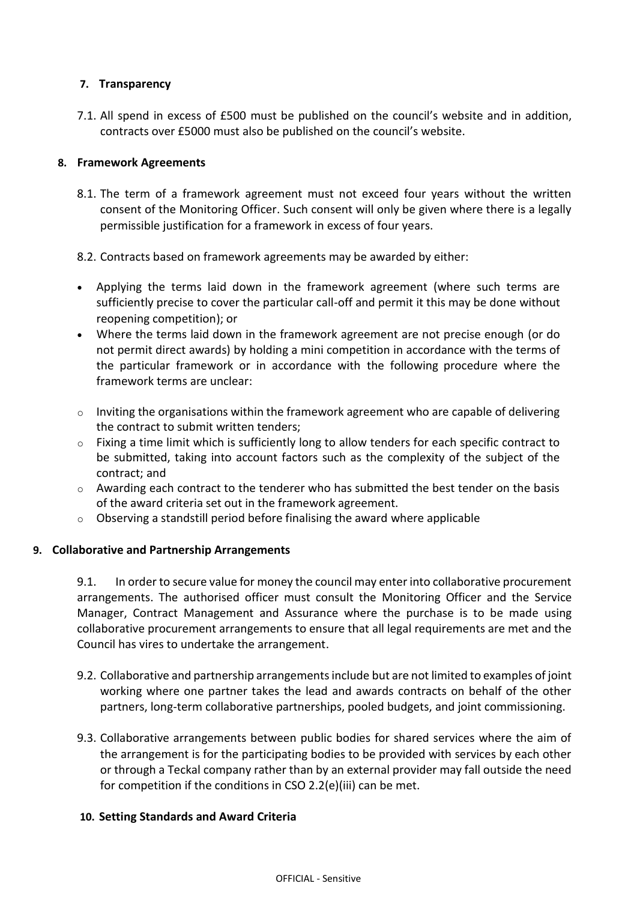# **7. Transparency**

7.1. All spend in excess of £500 must be published on the council's website and in addition, contracts over £5000 must also be published on the council's website.

# **8. Framework Agreements**

- 8.1. The term of a framework agreement must not exceed four years without the written consent of the Monitoring Officer. Such consent will only be given where there is a legally permissible justification for a framework in excess of four years.
- 8.2. Contracts based on framework agreements may be awarded by either:
- Applying the terms laid down in the framework agreement (where such terms are sufficiently precise to cover the particular call-off and permit it this may be done without reopening competition); or
- Where the terms laid down in the framework agreement are not precise enough (or do not permit direct awards) by holding a mini competition in accordance with the terms of the particular framework or in accordance with the following procedure where the framework terms are unclear:
- o Inviting the organisations within the framework agreement who are capable of delivering the contract to submit written tenders;
- o Fixing a time limit which is sufficiently long to allow tenders for each specific contract to be submitted, taking into account factors such as the complexity of the subject of the contract; and
- $\circ$  Awarding each contract to the tenderer who has submitted the best tender on the basis of the award criteria set out in the framework agreement.
- $\circ$  Observing a standstill period before finalising the award where applicable

#### **9. Collaborative and Partnership Arrangements**

9.1. In order to secure value for money the council may enter into collaborative procurement arrangements. The authorised officer must consult the Monitoring Officer and the Service Manager, Contract Management and Assurance where the purchase is to be made using collaborative procurement arrangements to ensure that all legal requirements are met and the Council has vires to undertake the arrangement.

- 9.2. Collaborative and partnership arrangements include but are not limited to examples of joint working where one partner takes the lead and awards contracts on behalf of the other partners, long-term collaborative partnerships, pooled budgets, and joint commissioning.
- 9.3. Collaborative arrangements between public bodies for shared services where the aim of the arrangement is for the participating bodies to be provided with services by each other or through a Teckal company rather than by an external provider may fall outside the need for competition if the conditions in CSO 2.2(e)(iii) can be met.

#### **10. Setting Standards and Award Criteria**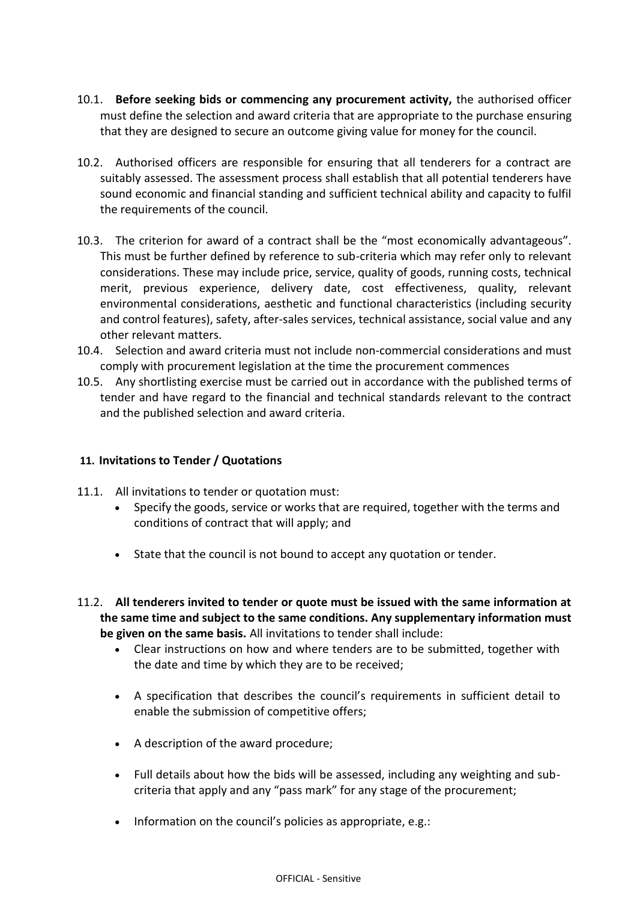- 10.1. **Before seeking bids or commencing any procurement activity,** the authorised officer must define the selection and award criteria that are appropriate to the purchase ensuring that they are designed to secure an outcome giving value for money for the council.
- 10.2. Authorised officers are responsible for ensuring that all tenderers for a contract are suitably assessed. The assessment process shall establish that all potential tenderers have sound economic and financial standing and sufficient technical ability and capacity to fulfil the requirements of the council.
- 10.3. The criterion for award of a contract shall be the "most economically advantageous". This must be further defined by reference to sub-criteria which may refer only to relevant considerations. These may include price, service, quality of goods, running costs, technical merit, previous experience, delivery date, cost effectiveness, quality, relevant environmental considerations, aesthetic and functional characteristics (including security and control features), safety, after-sales services, technical assistance, social value and any other relevant matters.
- 10.4. Selection and award criteria must not include non-commercial considerations and must comply with procurement legislation at the time the procurement commences
- 10.5. Any shortlisting exercise must be carried out in accordance with the published terms of tender and have regard to the financial and technical standards relevant to the contract and the published selection and award criteria.

#### **11. Invitations to Tender / Quotations**

- 11.1. All invitations to tender or quotation must:
	- Specify the goods, service or works that are required, together with the terms and conditions of contract that will apply; and
	- State that the council is not bound to accept any quotation or tender.
- 11.2. **All tenderers invited to tender or quote must be issued with the same information at the same time and subject to the same conditions. Any supplementary information must be given on the same basis.** All invitations to tender shall include:
	- Clear instructions on how and where tenders are to be submitted, together with the date and time by which they are to be received;
	- A specification that describes the council's requirements in sufficient detail to enable the submission of competitive offers;
	- A description of the award procedure;
	- Full details about how the bids will be assessed, including any weighting and subcriteria that apply and any "pass mark" for any stage of the procurement;
	- $\bullet$  Information on the council's policies as appropriate, e.g.: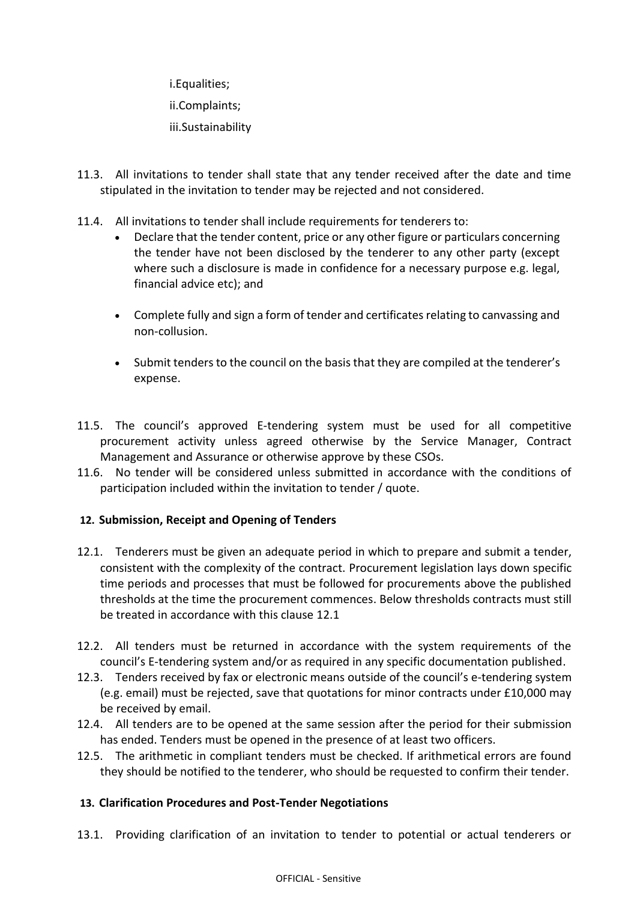i.Equalities; ii.Complaints; iii.Sustainability

- 11.3. All invitations to tender shall state that any tender received after the date and time stipulated in the invitation to tender may be rejected and not considered.
- 11.4. All invitations to tender shall include requirements for tenderers to:
	- Declare that the tender content, price or any other figure or particulars concerning the tender have not been disclosed by the tenderer to any other party (except where such a disclosure is made in confidence for a necessary purpose e.g. legal, financial advice etc); and
	- Complete fully and sign a form of tender and certificates relating to canvassing and non-collusion.
	- Submit tenders to the council on the basis that they are compiled at the tenderer's expense.
- 11.5. The council's approved E-tendering system must be used for all competitive procurement activity unless agreed otherwise by the Service Manager, Contract Management and Assurance or otherwise approve by these CSOs.
- 11.6. No tender will be considered unless submitted in accordance with the conditions of participation included within the invitation to tender / quote.

# **12. Submission, Receipt and Opening of Tenders**

- 12.1. Tenderers must be given an adequate period in which to prepare and submit a tender, consistent with the complexity of the contract. Procurement legislation lays down specific time periods and processes that must be followed for procurements above the published thresholds at the time the procurement commences. Below thresholds contracts must still be treated in accordance with this clause 12.1
- 12.2. All tenders must be returned in accordance with the system requirements of the council's E-tendering system and/or as required in any specific documentation published.
- 12.3. Tenders received by fax or electronic means outside of the council's e-tendering system (e.g. email) must be rejected, save that quotations for minor contracts under £10,000 may be received by email.
- 12.4. All tenders are to be opened at the same session after the period for their submission has ended. Tenders must be opened in the presence of at least two officers.
- 12.5. The arithmetic in compliant tenders must be checked. If arithmetical errors are found they should be notified to the tenderer, who should be requested to confirm their tender.

# **13. Clarification Procedures and Post-Tender Negotiations**

13.1. Providing clarification of an invitation to tender to potential or actual tenderers or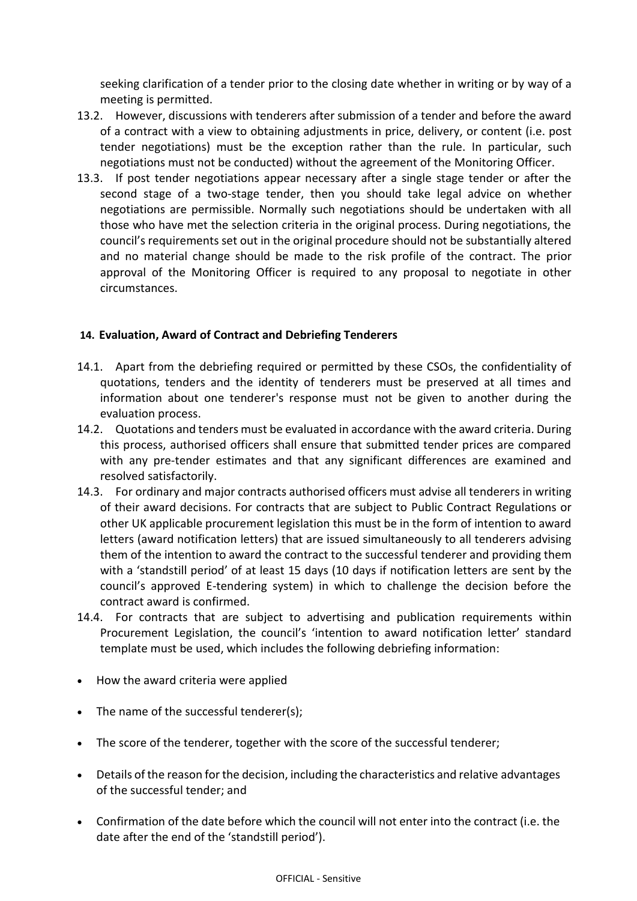seeking clarification of a tender prior to the closing date whether in writing or by way of a meeting is permitted.

- 13.2. However, discussions with tenderers after submission of a tender and before the award of a contract with a view to obtaining adjustments in price, delivery, or content (i.e. post tender negotiations) must be the exception rather than the rule. In particular, such negotiations must not be conducted) without the agreement of the Monitoring Officer.
- 13.3. If post tender negotiations appear necessary after a single stage tender or after the second stage of a two-stage tender, then you should take legal advice on whether negotiations are permissible. Normally such negotiations should be undertaken with all those who have met the selection criteria in the original process. During negotiations, the council's requirements set out in the original procedure should not be substantially altered and no material change should be made to the risk profile of the contract. The prior approval of the Monitoring Officer is required to any proposal to negotiate in other circumstances.

# **14. Evaluation, Award of Contract and Debriefing Tenderers**

- 14.1. Apart from the debriefing required or permitted by these CSOs, the confidentiality of quotations, tenders and the identity of tenderers must be preserved at all times and information about one tenderer's response must not be given to another during the evaluation process.
- 14.2. Quotations and tenders must be evaluated in accordance with the award criteria. During this process, authorised officers shall ensure that submitted tender prices are compared with any pre-tender estimates and that any significant differences are examined and resolved satisfactorily.
- 14.3. For ordinary and major contracts authorised officers must advise all tenderers in writing of their award decisions. For contracts that are subject to Public Contract Regulations or other UK applicable procurement legislation this must be in the form of intention to award letters (award notification letters) that are issued simultaneously to all tenderers advising them of the intention to award the contract to the successful tenderer and providing them with a 'standstill period' of at least 15 days (10 days if notification letters are sent by the council's approved E-tendering system) in which to challenge the decision before the contract award is confirmed.
- 14.4. For contracts that are subject to advertising and publication requirements within Procurement Legislation, the council's 'intention to award notification letter' standard template must be used, which includes the following debriefing information:
- How the award criteria were applied
- The name of the successful tenderer(s);
- The score of the tenderer, together with the score of the successful tenderer;
- Details of the reason for the decision, including the characteristics and relative advantages of the successful tender; and
- Confirmation of the date before which the council will not enter into the contract (i.e. the date after the end of the 'standstill period').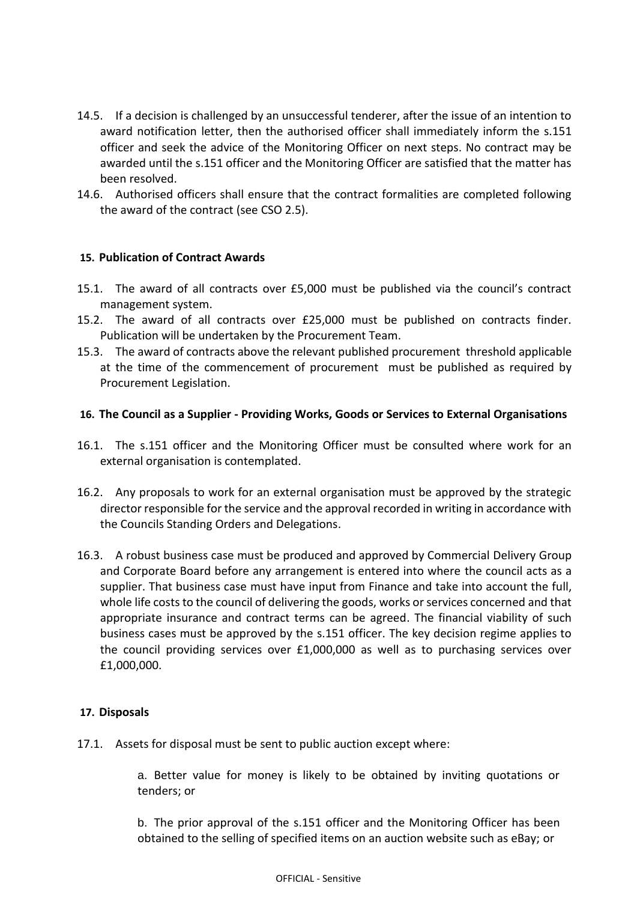- 14.5. If a decision is challenged by an unsuccessful tenderer, after the issue of an intention to award notification letter, then the authorised officer shall immediately inform the s.151 officer and seek the advice of the Monitoring Officer on next steps. No contract may be awarded until the s.151 officer and the Monitoring Officer are satisfied that the matter has been resolved.
- 14.6. Authorised officers shall ensure that the contract formalities are completed following the award of the contract (see CSO 2.5).

#### **15. Publication of Contract Awards**

- 15.1. The award of all contracts over £5,000 must be published via the council's contract management system.
- 15.2. The award of all contracts over £25,000 must be published on contracts finder. Publication will be undertaken by the Procurement Team.
- 15.3. The award of contracts above the relevant published procurement threshold applicable at the time of the commencement of procurement must be published as required by Procurement Legislation.

# **16. The Council as a Supplier - Providing Works, Goods or Services to External Organisations**

- 16.1. The s.151 officer and the Monitoring Officer must be consulted where work for an external organisation is contemplated.
- 16.2. Any proposals to work for an external organisation must be approved by the strategic director responsible for the service and the approval recorded in writing in accordance with the Councils Standing Orders and Delegations.
- 16.3. A robust business case must be produced and approved by Commercial Delivery Group and Corporate Board before any arrangement is entered into where the council acts as a supplier. That business case must have input from Finance and take into account the full, whole life costs to the council of delivering the goods, works or services concerned and that appropriate insurance and contract terms can be agreed. The financial viability of such business cases must be approved by the s.151 officer. The key decision regime applies to the council providing services over £1,000,000 as well as to purchasing services over £1,000,000.

#### **17. Disposals**

17.1. Assets for disposal must be sent to public auction except where:

a. Better value for money is likely to be obtained by inviting quotations or tenders; or

b. The prior approval of the s.151 officer and the Monitoring Officer has been obtained to the selling of specified items on an auction website such as eBay; or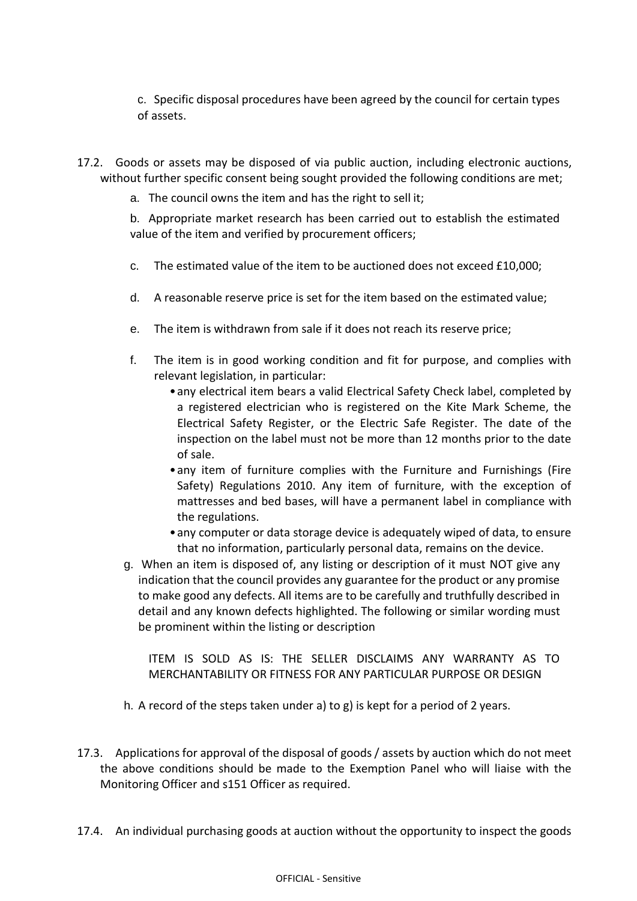c. Specific disposal procedures have been agreed by the council for certain types of assets.

- 17.2. Goods or assets may be disposed of via public auction, including electronic auctions, without further specific consent being sought provided the following conditions are met;
	- a. The council owns the item and has the right to sell it;

b. Appropriate market research has been carried out to establish the estimated value of the item and verified by procurement officers;

- c. The estimated value of the item to be auctioned does not exceed £10,000;
- d. A reasonable reserve price is set for the item based on the estimated value;
- e. The item is withdrawn from sale if it does not reach its reserve price;
- f. The item is in good working condition and fit for purpose, and complies with relevant legislation, in particular:
	- •any electrical item bears a valid Electrical Safety Check label, completed by a registered electrician who is registered on the Kite Mark Scheme, the Electrical Safety Register, or the Electric Safe Register. The date of the inspection on the label must not be more than 12 months prior to the date of sale.
	- •any item of furniture complies with the Furniture and Furnishings (Fire Safety) Regulations 2010. Any item of furniture, with the exception of mattresses and bed bases, will have a permanent label in compliance with the regulations.
	- •any computer or data storage device is adequately wiped of data, to ensure that no information, particularly personal data, remains on the device.
- g. When an item is disposed of, any listing or description of it must NOT give any indication that the council provides any guarantee for the product or any promise to make good any defects. All items are to be carefully and truthfully described in detail and any known defects highlighted. The following or similar wording must be prominent within the listing or description

ITEM IS SOLD AS IS: THE SELLER DISCLAIMS ANY WARRANTY AS TO MERCHANTABILITY OR FITNESS FOR ANY PARTICULAR PURPOSE OR DESIGN

- h. A record of the steps taken under a) to g) is kept for a period of 2 years.
- 17.3. Applications for approval of the disposal of goods / assets by auction which do not meet the above conditions should be made to the Exemption Panel who will liaise with the Monitoring Officer and s151 Officer as required.
- 17.4. An individual purchasing goods at auction without the opportunity to inspect the goods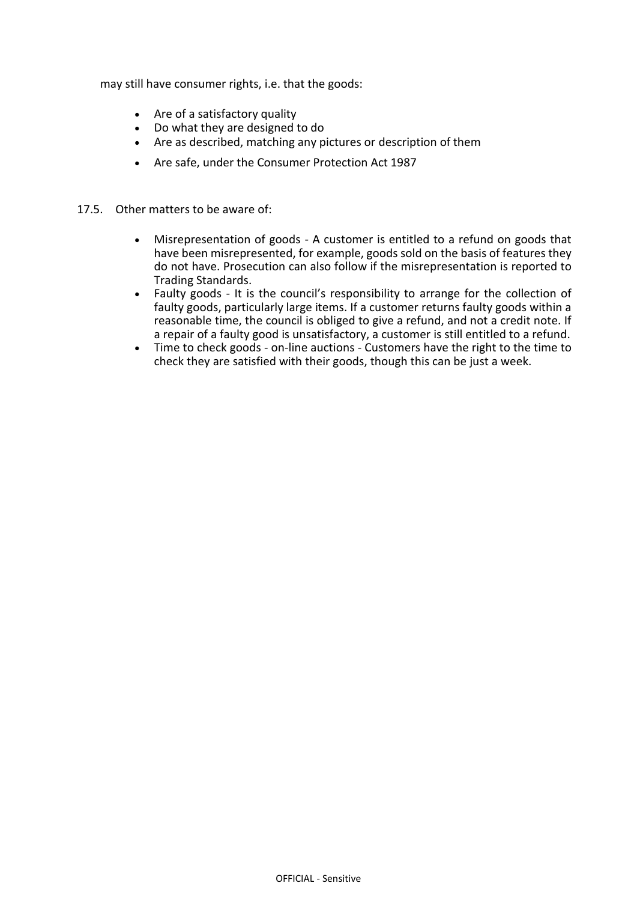may still have consumer rights, i.e. that the goods:

- Are of a satisfactory quality
- Do what they are designed to do
- Are as described, matching any pictures or description of them
- Are safe, under the Consumer Protection Act 1987
- 17.5. Other matters to be aware of:
	- Misrepresentation of goods A customer is entitled to a refund on goods that have been misrepresented, for example, goods sold on the basis of features they do not have. Prosecution can also follow if the misrepresentation is reported to Trading Standards.
	- Faulty goods It is the council's responsibility to arrange for the collection of faulty goods, particularly large items. If a customer returns faulty goods within a reasonable time, the council is obliged to give a refund, and not a credit note. If a repair of a faulty good is unsatisfactory, a customer is still entitled to a refund.
	- Time to check goods on-line auctions Customers have the right to the time to check they are satisfied with their goods, though this can be just a week.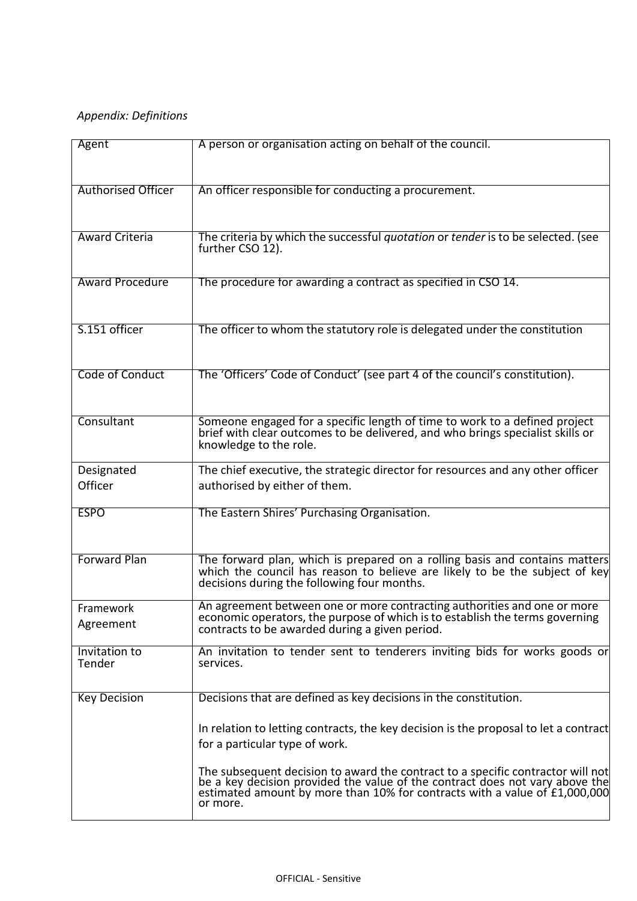# *Appendix: Definitions*

| Agent                     | A person or organisation acting on behalf of the council.                                                                                                                                                                            |
|---------------------------|--------------------------------------------------------------------------------------------------------------------------------------------------------------------------------------------------------------------------------------|
|                           |                                                                                                                                                                                                                                      |
|                           |                                                                                                                                                                                                                                      |
| <b>Authorised Officer</b> | An officer responsible for conducting a procurement.                                                                                                                                                                                 |
|                           |                                                                                                                                                                                                                                      |
|                           |                                                                                                                                                                                                                                      |
| <b>Award Criteria</b>     | The criteria by which the successful quotation or tender is to be selected. (see                                                                                                                                                     |
|                           | further CSO 12).                                                                                                                                                                                                                     |
|                           |                                                                                                                                                                                                                                      |
| <b>Award Procedure</b>    | The procedure for awarding a contract as specified in CSO 14.                                                                                                                                                                        |
|                           |                                                                                                                                                                                                                                      |
| S.151 officer             |                                                                                                                                                                                                                                      |
|                           | The officer to whom the statutory role is delegated under the constitution                                                                                                                                                           |
|                           |                                                                                                                                                                                                                                      |
| Code of Conduct           | The 'Officers' Code of Conduct' (see part 4 of the council's constitution).                                                                                                                                                          |
|                           |                                                                                                                                                                                                                                      |
|                           |                                                                                                                                                                                                                                      |
| Consultant                | Someone engaged for a specific length of time to work to a defined project                                                                                                                                                           |
|                           | brief with clear outcomes to be delivered, and who brings specialist skills or                                                                                                                                                       |
|                           | knowledge to the role.                                                                                                                                                                                                               |
| Designated                | The chief executive, the strategic director for resources and any other officer                                                                                                                                                      |
| Officer                   | authorised by either of them.                                                                                                                                                                                                        |
|                           |                                                                                                                                                                                                                                      |
| <b>ESPO</b>               | The Eastern Shires' Purchasing Organisation.                                                                                                                                                                                         |
|                           |                                                                                                                                                                                                                                      |
|                           |                                                                                                                                                                                                                                      |
| <b>Forward Plan</b>       | The forward plan, which is prepared on a rolling basis and contains matters which the council has reason to believe are likely to be the subject of key                                                                              |
|                           | decisions during the following four months.                                                                                                                                                                                          |
|                           | An agreement between one or more contracting authorities and one or more                                                                                                                                                             |
| Framework                 | economic operators, the purpose of which is to establish the terms governing                                                                                                                                                         |
| Agreement                 | contracts to be awarded during a given period.                                                                                                                                                                                       |
| Invitation to             | An invitation to tender sent to tenderers inviting bids for works goods or                                                                                                                                                           |
| Tender                    | services.                                                                                                                                                                                                                            |
|                           |                                                                                                                                                                                                                                      |
| <b>Key Decision</b>       | Decisions that are defined as key decisions in the constitution.                                                                                                                                                                     |
|                           |                                                                                                                                                                                                                                      |
|                           | In relation to letting contracts, the key decision is the proposal to let a contract                                                                                                                                                 |
|                           | for a particular type of work.                                                                                                                                                                                                       |
|                           |                                                                                                                                                                                                                                      |
|                           | The subsequent decision to award the contract to a specific contractor will not<br>be a key decision provided the value of the contract does not vary above the<br>estimated amount by more than 10% for contracts with a value of £ |
|                           |                                                                                                                                                                                                                                      |
|                           | or more.                                                                                                                                                                                                                             |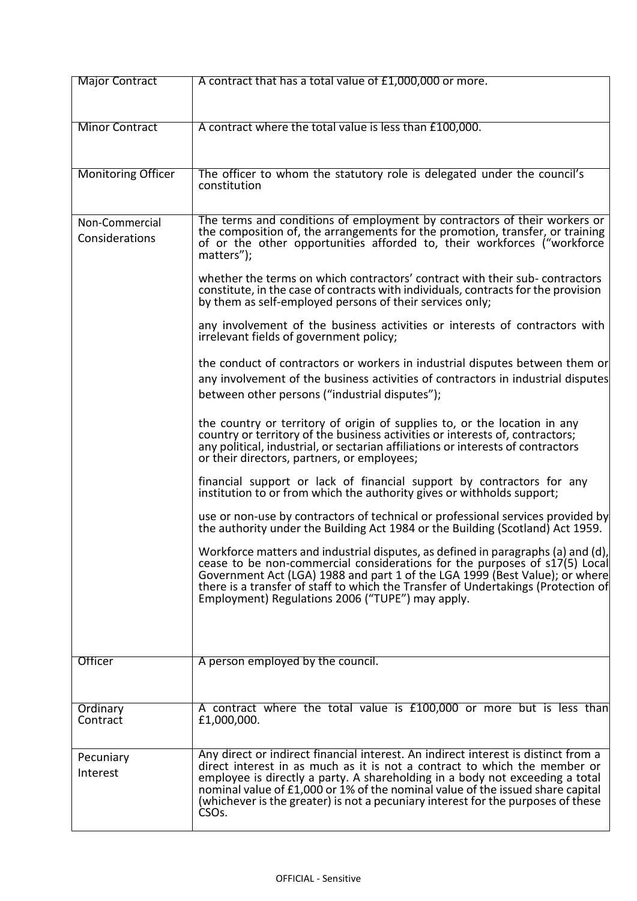| <b>Major Contract</b>            | A contract that has a total value of £1,000,000 or more.                                                                                                                                                                                                                                                                                                                                                                                    |
|----------------------------------|---------------------------------------------------------------------------------------------------------------------------------------------------------------------------------------------------------------------------------------------------------------------------------------------------------------------------------------------------------------------------------------------------------------------------------------------|
|                                  |                                                                                                                                                                                                                                                                                                                                                                                                                                             |
| <b>Minor Contract</b>            | A contract where the total value is less than £100,000.                                                                                                                                                                                                                                                                                                                                                                                     |
|                                  |                                                                                                                                                                                                                                                                                                                                                                                                                                             |
| <b>Monitoring Officer</b>        | The officer to whom the statutory role is delegated under the council's<br>constitution                                                                                                                                                                                                                                                                                                                                                     |
| Non-Commercial<br>Considerations | The terms and conditions of employment by contractors of their workers or<br>the composition of, the arrangements for the promotion, transfer, or training<br>of or the other opportunities afforded to, their workforces ("workforce<br>matters");                                                                                                                                                                                         |
|                                  | whether the terms on which contractors' contract with their sub-contractors<br>constitute, in the case of contracts with individuals, contracts for the provision<br>by them as self-employed persons of their services only;                                                                                                                                                                                                               |
|                                  | any involvement of the business activities or interests of contractors with<br>irrelevant fields of government policy;                                                                                                                                                                                                                                                                                                                      |
|                                  | the conduct of contractors or workers in industrial disputes between them or<br>any involvement of the business activities of contractors in industrial disputes<br>between other persons ("industrial disputes");                                                                                                                                                                                                                          |
|                                  | the country or territory of origin of supplies to, or the location in any<br>country or territory of the business activities or interests of, contractors;<br>any political, industrial, or sectarian affiliations or interests of contractors<br>or their directors, partners, or employees;                                                                                                                                               |
|                                  | financial support or lack of financial support by contractors for any<br>institution to or from which the authority gives or withholds support;                                                                                                                                                                                                                                                                                             |
|                                  | use or non-use by contractors of technical or professional services provided by<br>the authority under the Building Act 1984 or the Building (Scotland) Act 1959.                                                                                                                                                                                                                                                                           |
|                                  | Workforce matters and industrial disputes, as defined in paragraphs (a) and (d),<br>cease to be non-commercial considerations for the purposes of s17(5) Local<br>Government Act (LGA) 1988 and part 1 of the LGA 1999 (Best Value); or where<br>there is a transfer of staff to which the Transfer of Undertakings (Protection of<br>Employment) Regulations 2006 ("TUPE") may apply.                                                      |
| Officer                          | A person employed by the council.                                                                                                                                                                                                                                                                                                                                                                                                           |
|                                  |                                                                                                                                                                                                                                                                                                                                                                                                                                             |
| Ordinary<br>Contract             | A contract where the total value is £100,000 or more but is less than<br>£1,000,000.                                                                                                                                                                                                                                                                                                                                                        |
| Pecuniary<br>Interest            | Any direct or indirect financial interest. An indirect interest is distinct from a<br>direct interest in as much as it is not a contract to which the member or<br>employee is directly a party. A shareholding in a body not exceeding a total<br>nominal value of £1,000 or 1% of the nominal value of the issued share capital<br>(whichever is the greater) is not a pecuniary interest for the purposes of these<br>CSO <sub>s</sub> . |